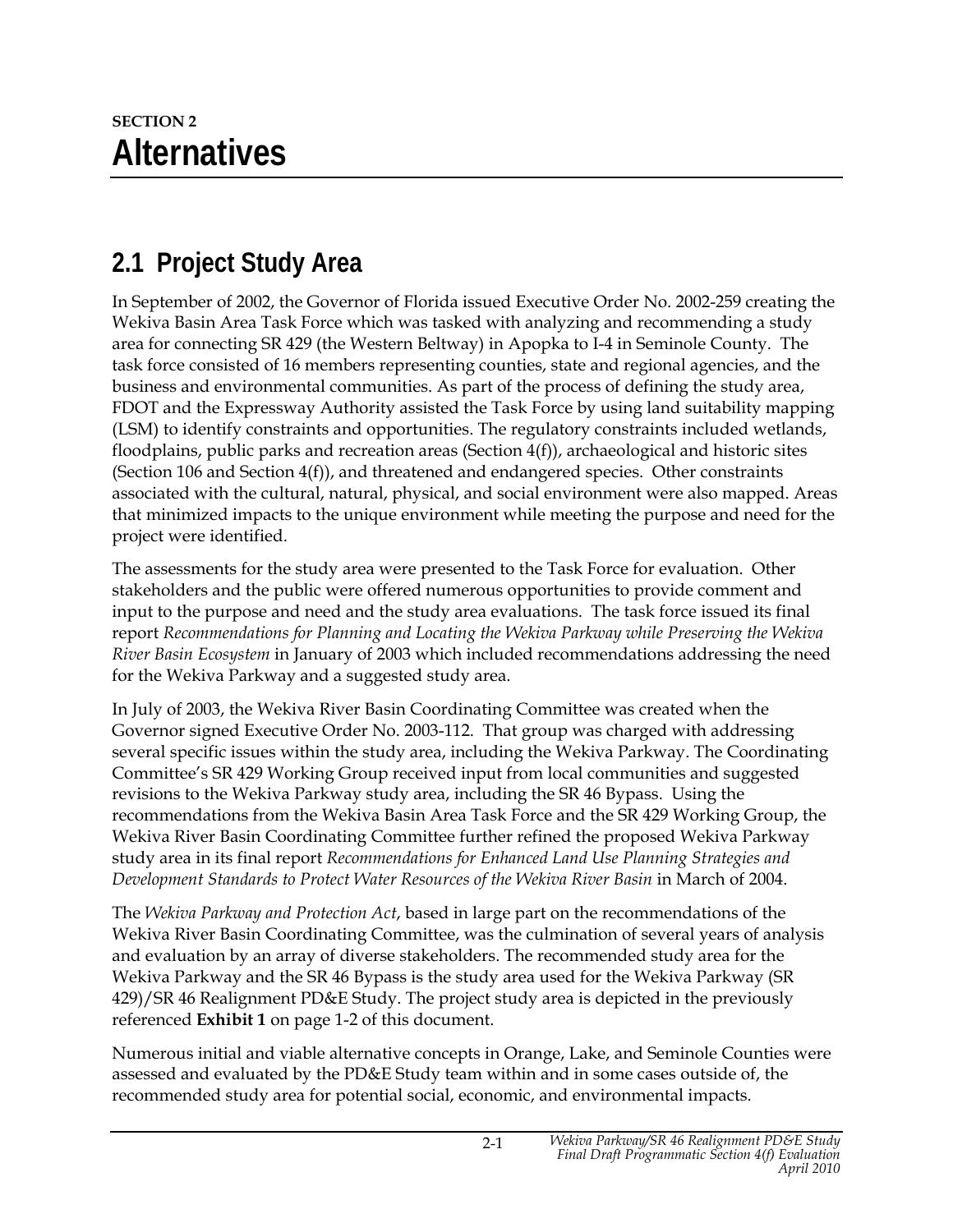# **2.1 Project Study Area**

In September of 2002, the Governor of Florida issued Executive Order No. 2002-259 creating the Wekiva Basin Area Task Force which was tasked with analyzing and recommending a study area for connecting SR 429 (the Western Beltway) in Apopka to I-4 in Seminole County. The task force consisted of 16 members representing counties, state and regional agencies, and the business and environmental communities. As part of the process of defining the study area, FDOT and the Expressway Authority assisted the Task Force by using land suitability mapping (LSM) to identify constraints and opportunities. The regulatory constraints included wetlands, floodplains, public parks and recreation areas (Section 4(f)), archaeological and historic sites (Section 106 and Section 4(f)), and threatened and endangered species. Other constraints associated with the cultural, natural, physical, and social environment were also mapped. Areas that minimized impacts to the unique environment while meeting the purpose and need for the project were identified.

The assessments for the study area were presented to the Task Force for evaluation. Other stakeholders and the public were offered numerous opportunities to provide comment and input to the purpose and need and the study area evaluations. The task force issued its final report *Recommendations for Planning and Locating the Wekiva Parkway while Preserving the Wekiva River Basin Ecosystem* in January of 2003 which included recommendations addressing the need for the Wekiva Parkway and a suggested study area.

In July of 2003, the Wekiva River Basin Coordinating Committee was created when the Governor signed Executive Order No. 2003-112. That group was charged with addressing several specific issues within the study area, including the Wekiva Parkway. The Coordinating Committee's SR 429 Working Group received input from local communities and suggested revisions to the Wekiva Parkway study area, including the SR 46 Bypass. Using the recommendations from the Wekiva Basin Area Task Force and the SR 429 Working Group, the Wekiva River Basin Coordinating Committee further refined the proposed Wekiva Parkway study area in its final report *Recommendations for Enhanced Land Use Planning Strategies and Development Standards to Protect Water Resources of the Wekiva River Basin* in March of 2004.

The *Wekiva Parkway and Protection Act*, based in large part on the recommendations of the Wekiva River Basin Coordinating Committee, was the culmination of several years of analysis and evaluation by an array of diverse stakeholders. The recommended study area for the Wekiva Parkway and the SR 46 Bypass is the study area used for the Wekiva Parkway (SR 429)/SR 46 Realignment PD&E Study. The project study area is depicted in the previously referenced **Exhibit 1** on page 1-2 of this document.

Numerous initial and viable alternative concepts in Orange, Lake, and Seminole Counties were assessed and evaluated by the PD&E Study team within and in some cases outside of, the recommended study area for potential social, economic, and environmental impacts.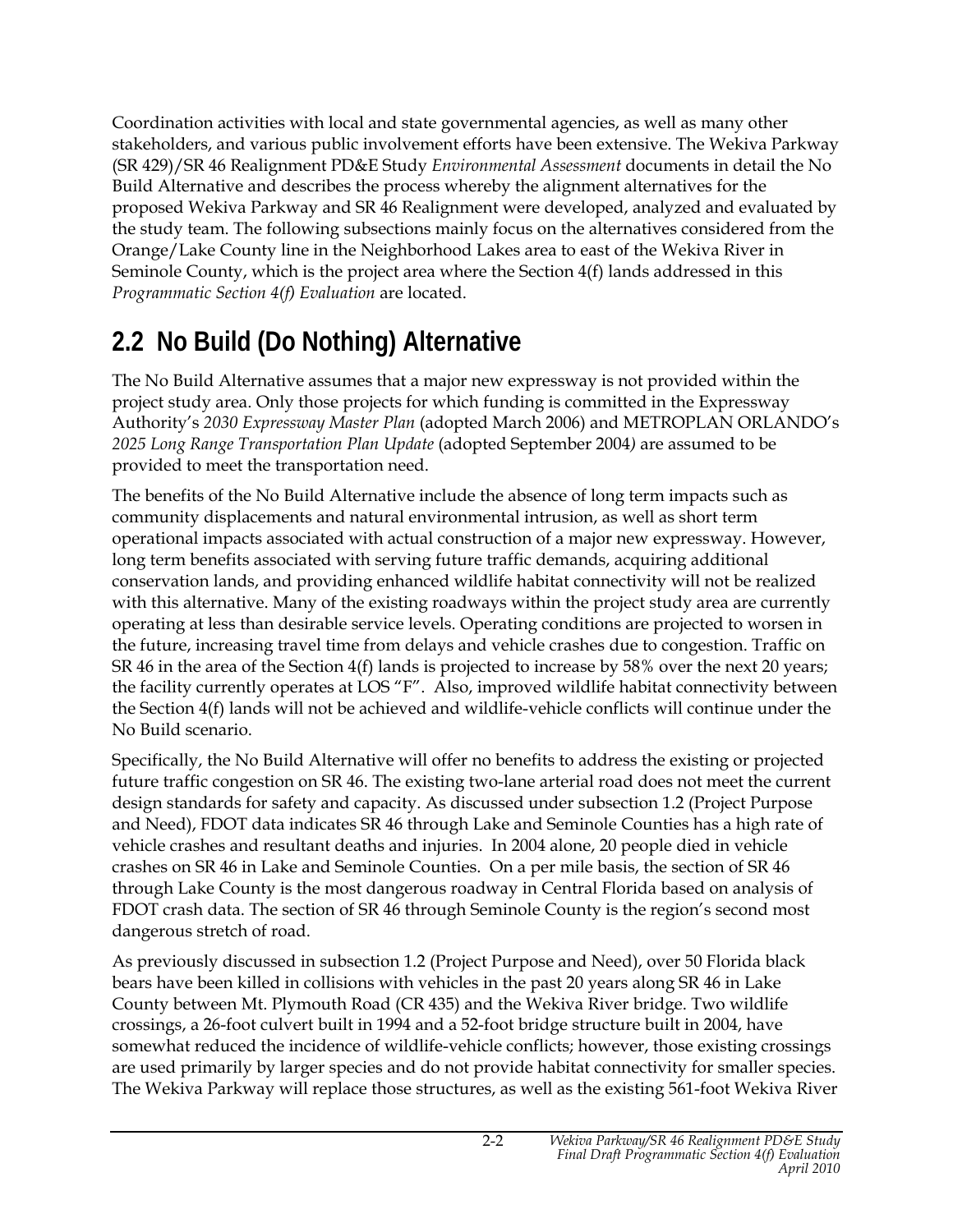Coordination activities with local and state governmental agencies, as well as many other stakeholders, and various public involvement efforts have been extensive. The Wekiva Parkway (SR 429)/SR 46 Realignment PD&E Study *Environmental Assessment* documents in detail the No Build Alternative and describes the process whereby the alignment alternatives for the proposed Wekiva Parkway and SR 46 Realignment were developed, analyzed and evaluated by the study team. The following subsections mainly focus on the alternatives considered from the Orange/Lake County line in the Neighborhood Lakes area to east of the Wekiva River in Seminole County, which is the project area where the Section 4(f) lands addressed in this *Programmatic Section 4(f) Evaluation* are located.

# **2.2 No Build (Do Nothing) Alternative**

The No Build Alternative assumes that a major new expressway is not provided within the project study area. Only those projects for which funding is committed in the Expressway Authority's *2030 Expressway Master Plan* (adopted March 2006) and METROPLAN ORLANDO's *2025 Long Range Transportation Plan Update* (adopted September 2004*)* are assumed to be provided to meet the transportation need.

The benefits of the No Build Alternative include the absence of long term impacts such as community displacements and natural environmental intrusion, as well as short term operational impacts associated with actual construction of a major new expressway. However, long term benefits associated with serving future traffic demands, acquiring additional conservation lands, and providing enhanced wildlife habitat connectivity will not be realized with this alternative. Many of the existing roadways within the project study area are currently operating at less than desirable service levels. Operating conditions are projected to worsen in the future, increasing travel time from delays and vehicle crashes due to congestion. Traffic on SR 46 in the area of the Section 4(f) lands is projected to increase by 58% over the next 20 years; the facility currently operates at LOS "F". Also, improved wildlife habitat connectivity between the Section 4(f) lands will not be achieved and wildlife-vehicle conflicts will continue under the No Build scenario.

Specifically, the No Build Alternative will offer no benefits to address the existing or projected future traffic congestion on SR 46. The existing two-lane arterial road does not meet the current design standards for safety and capacity. As discussed under subsection 1.2 (Project Purpose and Need), FDOT data indicates SR 46 through Lake and Seminole Counties has a high rate of vehicle crashes and resultant deaths and injuries. In 2004 alone, 20 people died in vehicle crashes on SR 46 in Lake and Seminole Counties. On a per mile basis, the section of SR 46 through Lake County is the most dangerous roadway in Central Florida based on analysis of FDOT crash data. The section of SR 46 through Seminole County is the region's second most dangerous stretch of road.

As previously discussed in subsection 1.2 (Project Purpose and Need), over 50 Florida black bears have been killed in collisions with vehicles in the past 20 years along SR 46 in Lake County between Mt. Plymouth Road (CR 435) and the Wekiva River bridge. Two wildlife crossings, a 26-foot culvert built in 1994 and a 52-foot bridge structure built in 2004, have somewhat reduced the incidence of wildlife-vehicle conflicts; however, those existing crossings are used primarily by larger species and do not provide habitat connectivity for smaller species. The Wekiva Parkway will replace those structures, as well as the existing 561-foot Wekiva River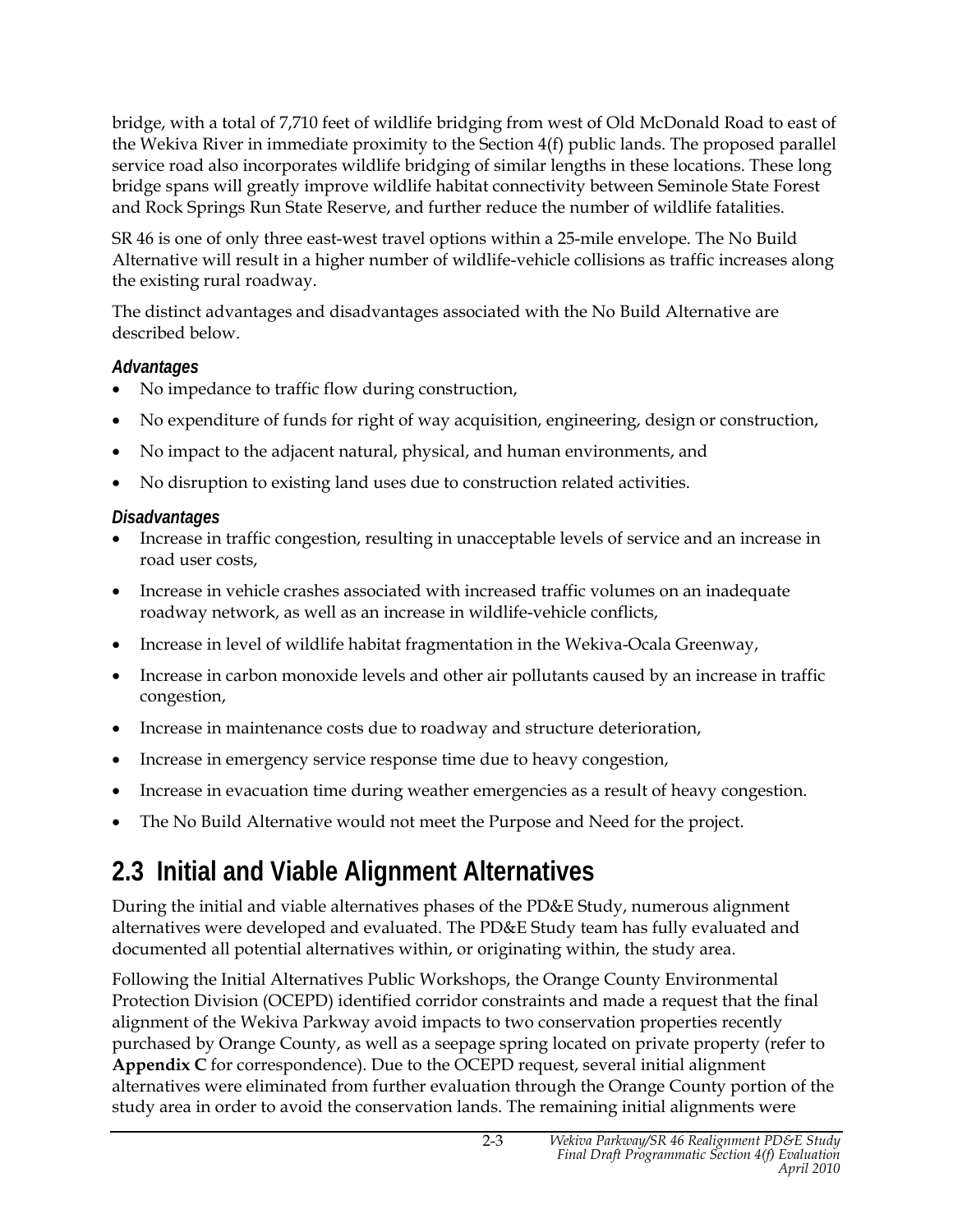bridge, with a total of 7,710 feet of wildlife bridging from west of Old McDonald Road to east of the Wekiva River in immediate proximity to the Section 4(f) public lands. The proposed parallel service road also incorporates wildlife bridging of similar lengths in these locations. These long bridge spans will greatly improve wildlife habitat connectivity between Seminole State Forest and Rock Springs Run State Reserve, and further reduce the number of wildlife fatalities.

SR 46 is one of only three east-west travel options within a 25-mile envelope. The No Build Alternative will result in a higher number of wildlife-vehicle collisions as traffic increases along the existing rural roadway.

The distinct advantages and disadvantages associated with the No Build Alternative are described below.

#### *Advantages*

- No impedance to traffic flow during construction,
- No expenditure of funds for right of way acquisition, engineering, design or construction,
- No impact to the adjacent natural, physical, and human environments, and
- No disruption to existing land uses due to construction related activities.

#### *Disadvantages*

- Increase in traffic congestion, resulting in unacceptable levels of service and an increase in road user costs,
- Increase in vehicle crashes associated with increased traffic volumes on an inadequate roadway network, as well as an increase in wildlife-vehicle conflicts,
- Increase in level of wildlife habitat fragmentation in the Wekiva-Ocala Greenway,
- Increase in carbon monoxide levels and other air pollutants caused by an increase in traffic congestion,
- Increase in maintenance costs due to roadway and structure deterioration,
- Increase in emergency service response time due to heavy congestion,
- Increase in evacuation time during weather emergencies as a result of heavy congestion.
- The No Build Alternative would not meet the Purpose and Need for the project.

# **2.3 Initial and Viable Alignment Alternatives**

During the initial and viable alternatives phases of the PD&E Study, numerous alignment alternatives were developed and evaluated. The PD&E Study team has fully evaluated and documented all potential alternatives within, or originating within, the study area.

Following the Initial Alternatives Public Workshops, the Orange County Environmental Protection Division (OCEPD) identified corridor constraints and made a request that the final alignment of the Wekiva Parkway avoid impacts to two conservation properties recently purchased by Orange County, as well as a seepage spring located on private property (refer to **Appendix C** for correspondence). Due to the OCEPD request, several initial alignment alternatives were eliminated from further evaluation through the Orange County portion of the study area in order to avoid the conservation lands. The remaining initial alignments were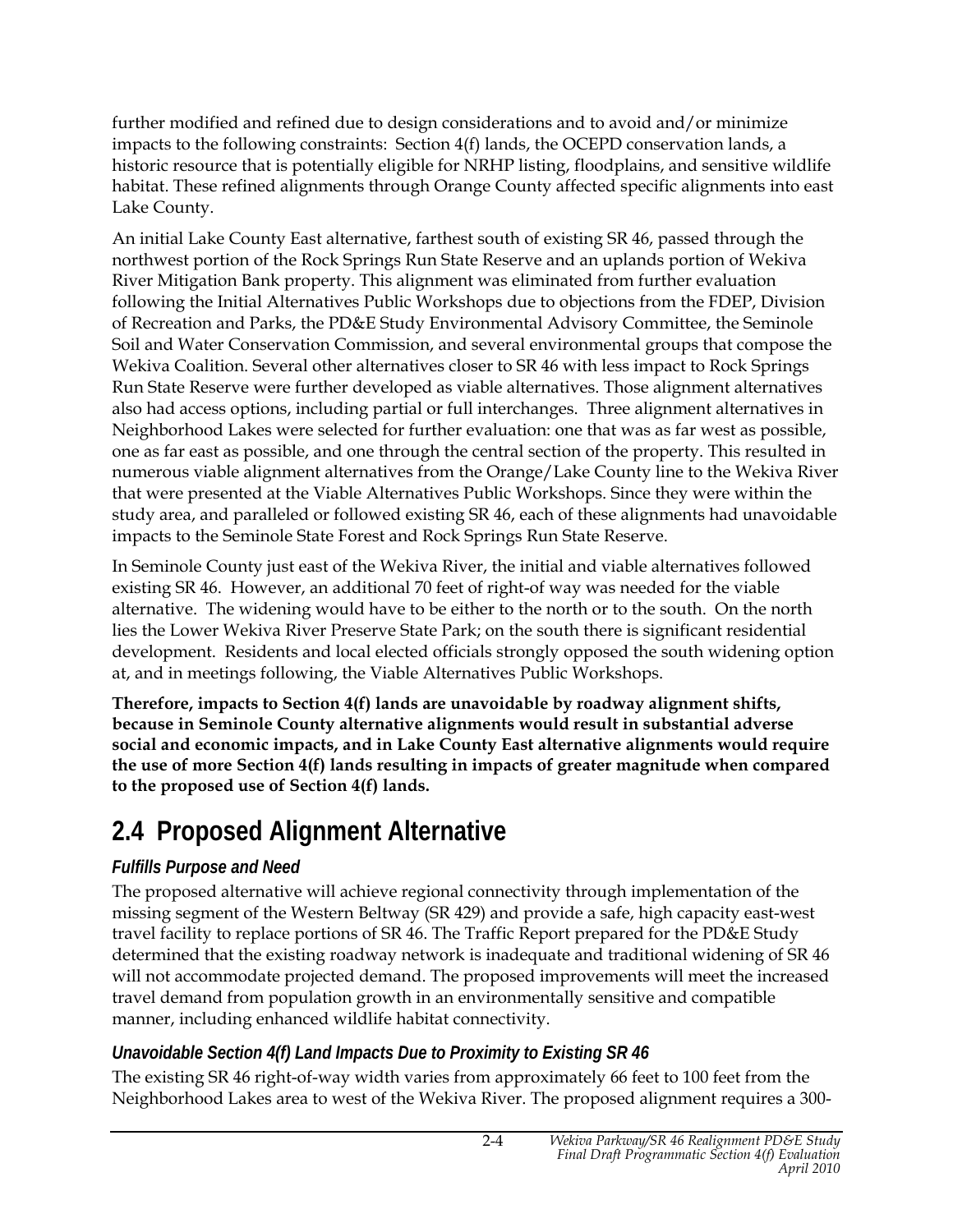further modified and refined due to design considerations and to avoid and/or minimize impacts to the following constraints: Section 4(f) lands, the OCEPD conservation lands, a historic resource that is potentially eligible for NRHP listing, floodplains, and sensitive wildlife habitat. These refined alignments through Orange County affected specific alignments into east Lake County.

An initial Lake County East alternative, farthest south of existing SR 46, passed through the northwest portion of the Rock Springs Run State Reserve and an uplands portion of Wekiva River Mitigation Bank property. This alignment was eliminated from further evaluation following the Initial Alternatives Public Workshops due to objections from the FDEP, Division of Recreation and Parks, the PD&E Study Environmental Advisory Committee, the Seminole Soil and Water Conservation Commission, and several environmental groups that compose the Wekiva Coalition. Several other alternatives closer to SR 46 with less impact to Rock Springs Run State Reserve were further developed as viable alternatives. Those alignment alternatives also had access options, including partial or full interchanges. Three alignment alternatives in Neighborhood Lakes were selected for further evaluation: one that was as far west as possible, one as far east as possible, and one through the central section of the property. This resulted in numerous viable alignment alternatives from the Orange/Lake County line to the Wekiva River that were presented at the Viable Alternatives Public Workshops. Since they were within the study area, and paralleled or followed existing SR 46, each of these alignments had unavoidable impacts to the Seminole State Forest and Rock Springs Run State Reserve.

In Seminole County just east of the Wekiva River, the initial and viable alternatives followed existing SR 46. However, an additional 70 feet of right-of way was needed for the viable alternative. The widening would have to be either to the north or to the south. On the north lies the Lower Wekiva River Preserve State Park; on the south there is significant residential development. Residents and local elected officials strongly opposed the south widening option at, and in meetings following, the Viable Alternatives Public Workshops.

**Therefore, impacts to Section 4(f) lands are unavoidable by roadway alignment shifts, because in Seminole County alternative alignments would result in substantial adverse social and economic impacts, and in Lake County East alternative alignments would require the use of more Section 4(f) lands resulting in impacts of greater magnitude when compared to the proposed use of Section 4(f) lands.** 

# **2.4 Proposed Alignment Alternative**

### *Fulfills Purpose and Need*

The proposed alternative will achieve regional connectivity through implementation of the missing segment of the Western Beltway (SR 429) and provide a safe, high capacity east-west travel facility to replace portions of SR 46. The Traffic Report prepared for the PD&E Study determined that the existing roadway network is inadequate and traditional widening of SR 46 will not accommodate projected demand. The proposed improvements will meet the increased travel demand from population growth in an environmentally sensitive and compatible manner, including enhanced wildlife habitat connectivity.

### *Unavoidable Section 4(f) Land Impacts Due to Proximity to Existing SR 46*

The existing SR 46 right-of-way width varies from approximately 66 feet to 100 feet from the Neighborhood Lakes area to west of the Wekiva River. The proposed alignment requires a 300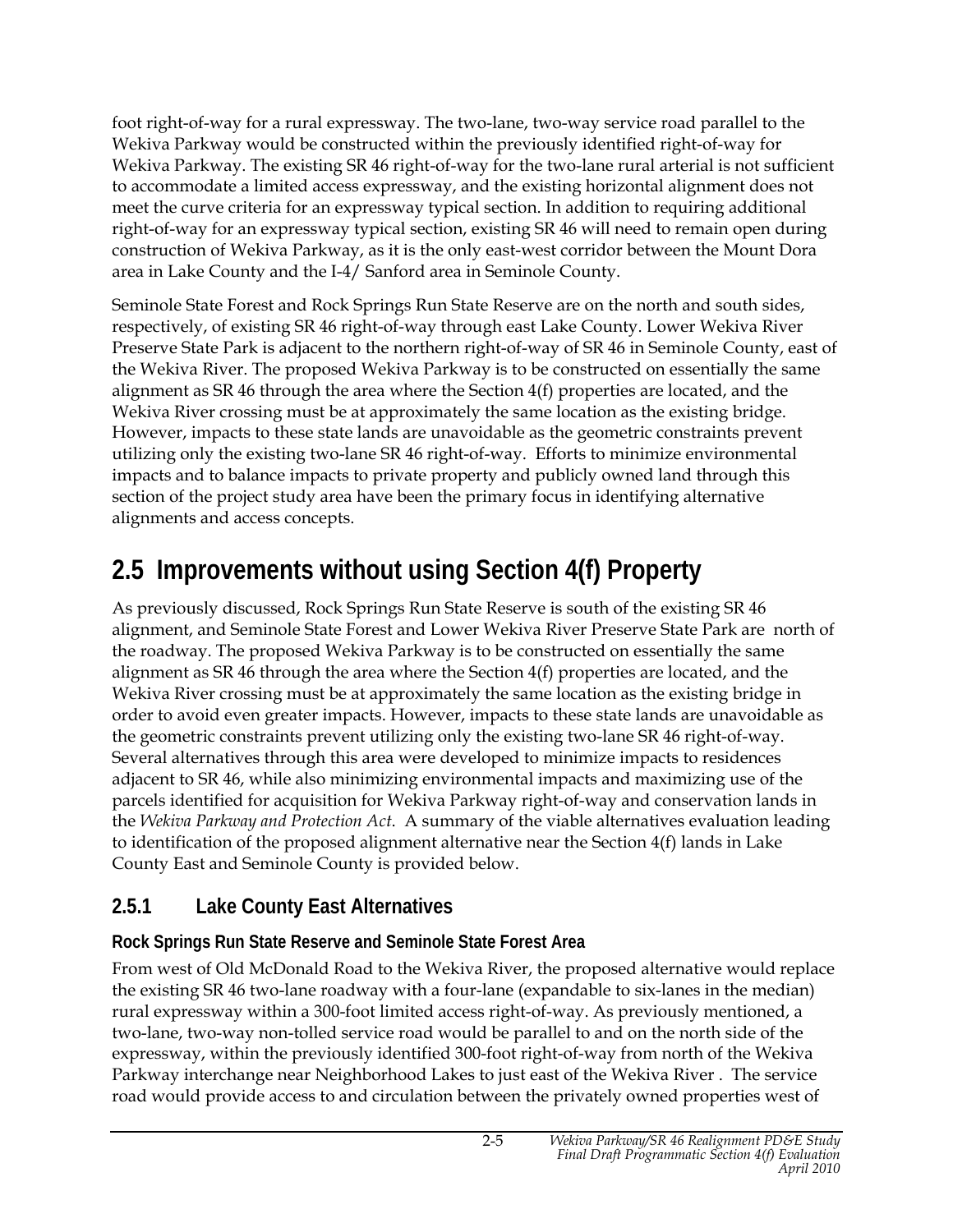foot right-of-way for a rural expressway. The two-lane, two-way service road parallel to the Wekiva Parkway would be constructed within the previously identified right-of-way for Wekiva Parkway. The existing SR 46 right-of-way for the two-lane rural arterial is not sufficient to accommodate a limited access expressway, and the existing horizontal alignment does not meet the curve criteria for an expressway typical section. In addition to requiring additional right-of-way for an expressway typical section, existing SR 46 will need to remain open during construction of Wekiva Parkway, as it is the only east-west corridor between the Mount Dora area in Lake County and the I-4/ Sanford area in Seminole County.

Seminole State Forest and Rock Springs Run State Reserve are on the north and south sides, respectively, of existing SR 46 right-of-way through east Lake County. Lower Wekiva River Preserve State Park is adjacent to the northern right-of-way of SR 46 in Seminole County, east of the Wekiva River. The proposed Wekiva Parkway is to be constructed on essentially the same alignment as SR 46 through the area where the Section  $4(f)$  properties are located, and the Wekiva River crossing must be at approximately the same location as the existing bridge. However, impacts to these state lands are unavoidable as the geometric constraints prevent utilizing only the existing two-lane SR 46 right-of-way. Efforts to minimize environmental impacts and to balance impacts to private property and publicly owned land through this section of the project study area have been the primary focus in identifying alternative alignments and access concepts.

# **2.5 Improvements without using Section 4(f) Property**

As previously discussed, Rock Springs Run State Reserve is south of the existing SR 46 alignment, and Seminole State Forest and Lower Wekiva River Preserve State Park are north of the roadway. The proposed Wekiva Parkway is to be constructed on essentially the same alignment as SR 46 through the area where the Section  $4(f)$  properties are located, and the Wekiva River crossing must be at approximately the same location as the existing bridge in order to avoid even greater impacts. However, impacts to these state lands are unavoidable as the geometric constraints prevent utilizing only the existing two-lane SR 46 right-of-way. Several alternatives through this area were developed to minimize impacts to residences adjacent to SR 46, while also minimizing environmental impacts and maximizing use of the parcels identified for acquisition for Wekiva Parkway right-of-way and conservation lands in the *Wekiva Parkway and Protection Act*. A summary of the viable alternatives evaluation leading to identification of the proposed alignment alternative near the Section 4(f) lands in Lake County East and Seminole County is provided below.

## **2.5.1 Lake County East Alternatives**

### **Rock Springs Run State Reserve and Seminole State Forest Area**

From west of Old McDonald Road to the Wekiva River, the proposed alternative would replace the existing SR 46 two-lane roadway with a four-lane (expandable to six-lanes in the median) rural expressway within a 300-foot limited access right-of-way. As previously mentioned, a two-lane, two-way non-tolled service road would be parallel to and on the north side of the expressway, within the previously identified 300-foot right-of-way from north of the Wekiva Parkway interchange near Neighborhood Lakes to just east of the Wekiva River . The service road would provide access to and circulation between the privately owned properties west of

2-5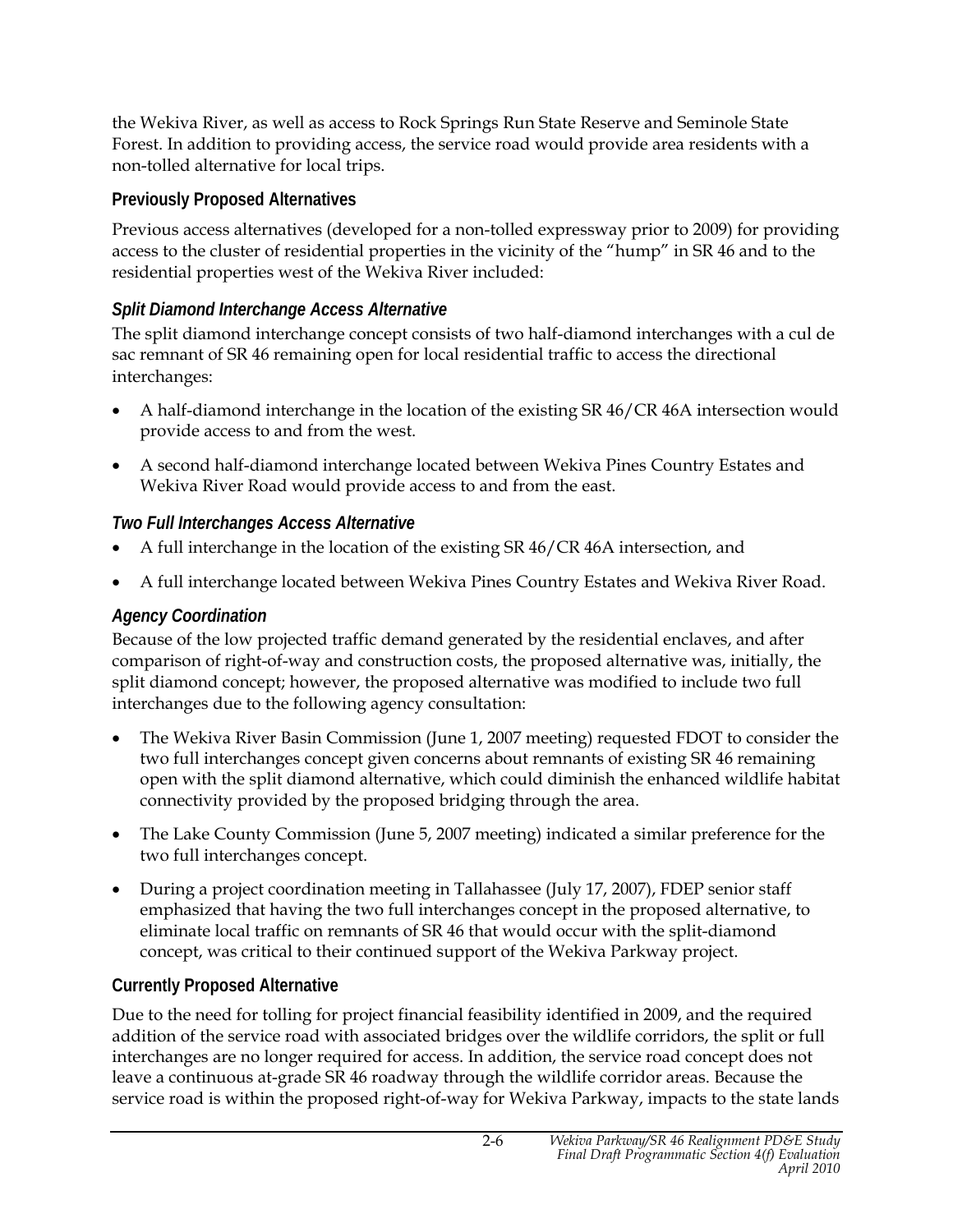the Wekiva River, as well as access to Rock Springs Run State Reserve and Seminole State Forest. In addition to providing access, the service road would provide area residents with a non-tolled alternative for local trips.

#### **Previously Proposed Alternatives**

Previous access alternatives (developed for a non-tolled expressway prior to 2009) for providing access to the cluster of residential properties in the vicinity of the "hump" in SR 46 and to the residential properties west of the Wekiva River included:

#### *Split Diamond Interchange Access Alternative*

The split diamond interchange concept consists of two half-diamond interchanges with a cul de sac remnant of SR 46 remaining open for local residential traffic to access the directional interchanges:

- A half-diamond interchange in the location of the existing SR 46/CR 46A intersection would provide access to and from the west.
- A second half-diamond interchange located between Wekiva Pines Country Estates and Wekiva River Road would provide access to and from the east.

#### *Two Full Interchanges Access Alternative*

- A full interchange in the location of the existing SR 46/CR 46A intersection, and
- A full interchange located between Wekiva Pines Country Estates and Wekiva River Road.

#### *Agency Coordination*

Because of the low projected traffic demand generated by the residential enclaves, and after comparison of right-of-way and construction costs, the proposed alternative was, initially, the split diamond concept; however, the proposed alternative was modified to include two full interchanges due to the following agency consultation:

- The Wekiva River Basin Commission (June 1, 2007 meeting) requested FDOT to consider the two full interchanges concept given concerns about remnants of existing SR 46 remaining open with the split diamond alternative, which could diminish the enhanced wildlife habitat connectivity provided by the proposed bridging through the area.
- The Lake County Commission (June 5, 2007 meeting) indicated a similar preference for the two full interchanges concept.
- During a project coordination meeting in Tallahassee (July 17, 2007), FDEP senior staff emphasized that having the two full interchanges concept in the proposed alternative, to eliminate local traffic on remnants of SR 46 that would occur with the split-diamond concept, was critical to their continued support of the Wekiva Parkway project.

### **Currently Proposed Alternative**

Due to the need for tolling for project financial feasibility identified in 2009, and the required addition of the service road with associated bridges over the wildlife corridors, the split or full interchanges are no longer required for access. In addition, the service road concept does not leave a continuous at-grade SR 46 roadway through the wildlife corridor areas. Because the service road is within the proposed right-of-way for Wekiva Parkway, impacts to the state lands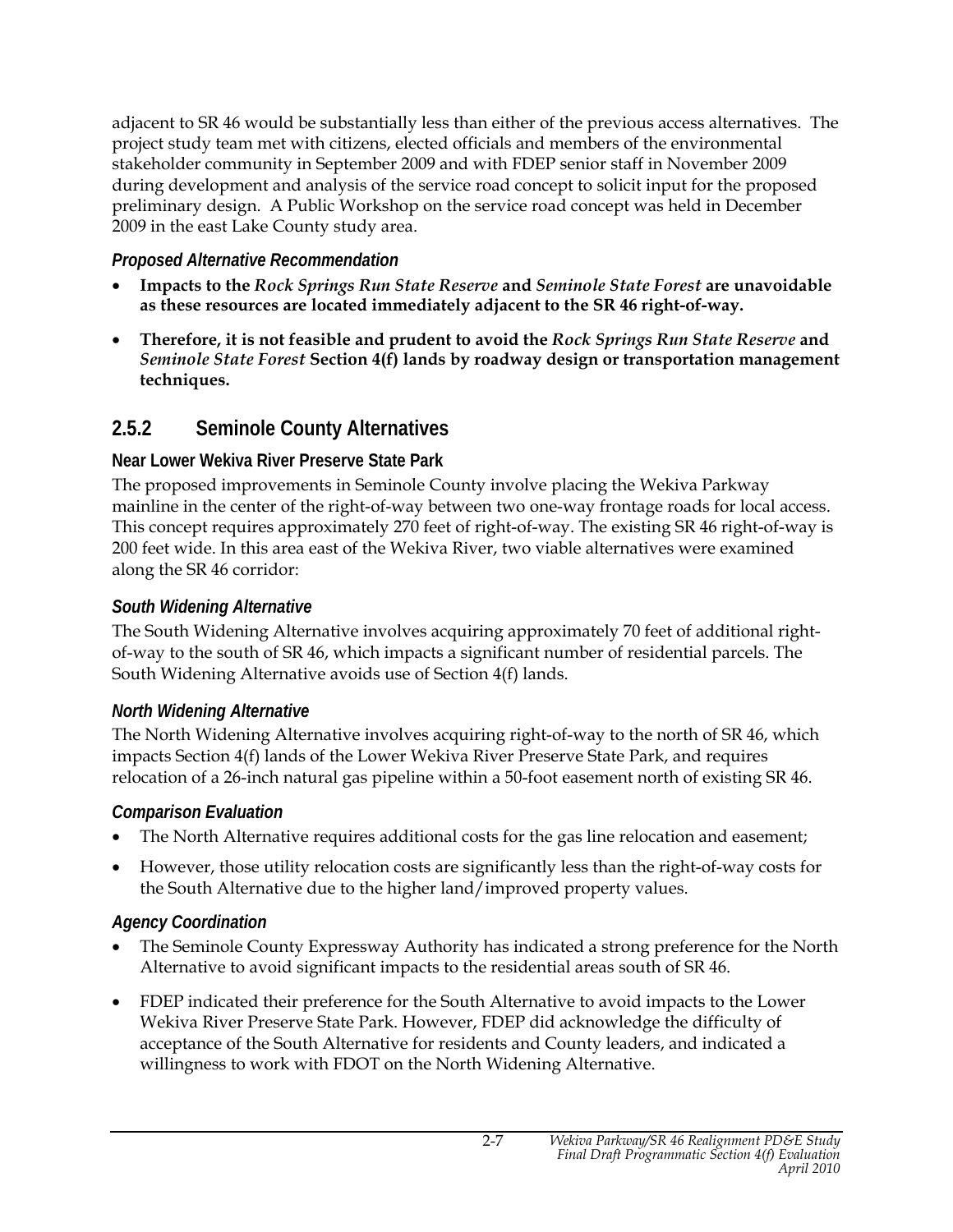adjacent to SR 46 would be substantially less than either of the previous access alternatives. The project study team met with citizens, elected officials and members of the environmental stakeholder community in September 2009 and with FDEP senior staff in November 2009 during development and analysis of the service road concept to solicit input for the proposed preliminary design. A Public Workshop on the service road concept was held in December 2009 in the east Lake County study area.

#### *Proposed Alternative Recommendation*

- **Impacts to the** *Rock Springs Run State Reserve* **and** *Seminole State Forest* **are unavoidable as these resources are located immediately adjacent to the SR 46 right-of-way.**
- **Therefore, it is not feasible and prudent to avoid the** *Rock Springs Run State Reserve* **and** *Seminole State Forest* **Section 4(f) lands by roadway design or transportation management techniques.**

### **2.5.2 Seminole County Alternatives**

#### **Near Lower Wekiva River Preserve State Park**

The proposed improvements in Seminole County involve placing the Wekiva Parkway mainline in the center of the right-of-way between two one-way frontage roads for local access. This concept requires approximately 270 feet of right-of-way. The existing SR 46 right-of-way is 200 feet wide. In this area east of the Wekiva River, two viable alternatives were examined along the SR 46 corridor:

#### *South Widening Alternative*

The South Widening Alternative involves acquiring approximately 70 feet of additional rightof-way to the south of SR 46, which impacts a significant number of residential parcels. The South Widening Alternative avoids use of Section 4(f) lands.

#### *North Widening Alternative*

The North Widening Alternative involves acquiring right-of-way to the north of SR 46, which impacts Section 4(f) lands of the Lower Wekiva River Preserve State Park, and requires relocation of a 26-inch natural gas pipeline within a 50-foot easement north of existing SR 46.

### *Comparison Evaluation*

- The North Alternative requires additional costs for the gas line relocation and easement;
- However, those utility relocation costs are significantly less than the right-of-way costs for the South Alternative due to the higher land/improved property values.

### *Agency Coordination*

• The Seminole County Expressway Authority has indicated a strong preference for the North Alternative to avoid significant impacts to the residential areas south of SR 46.

2-7

• FDEP indicated their preference for the South Alternative to avoid impacts to the Lower Wekiva River Preserve State Park. However, FDEP did acknowledge the difficulty of acceptance of the South Alternative for residents and County leaders, and indicated a willingness to work with FDOT on the North Widening Alternative.